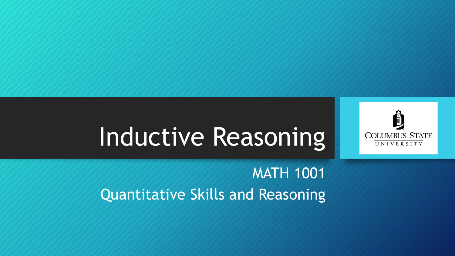

# Inductive Reasoning

MATH 1001 Quantitative Skills and Reasoning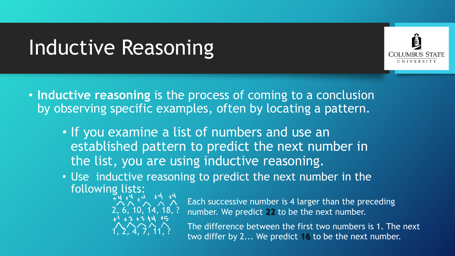## Inductive Reasoning



• **Inductive reasoning** is the process of coming to a conclusion by observing specific examples, often by locating a pattern.

- If you examine a list of numbers and use an established pattern to predict the next number in the list, you are using inductive reasoning.
- Use inductive reasoning to predict the next number in the following lists:



Each successive number is 4 larger than the preceding number. We predict **22** to be the next number.

The difference between the first two numbers is 1. The next two differ by 2... We predict **16** to be the next number.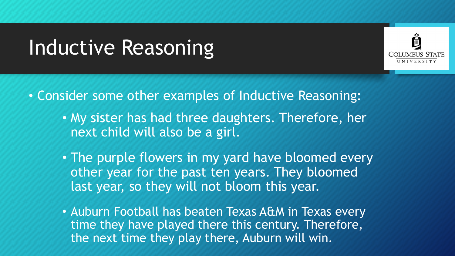#### Inductive Reasoning



- Consider some other examples of Inductive Reasoning:
	- My sister has had three daughters. Therefore, her next child will also be a girl.
	- The purple flowers in my yard have bloomed every other year for the past ten years. They bloomed last year, so they will not bloom this year.
	- Auburn Football has beaten Texas A&M in Texas every time they have played there this century. Therefore, the next time they play there, Auburn will win.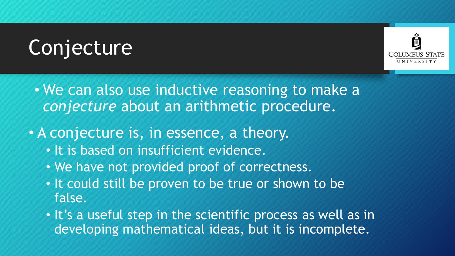# Conjecture



- We can also use inductive reasoning to make a *conjecture* about an arithmetic procedure.
- A conjecture is, in essence, a theory.
	- It is based on insufficient evidence.
	- We have not provided proof of correctness.
	- It could still be proven to be true or shown to be false.
	- It's a useful step in the scientific process as well as in developing mathematical ideas, but it is incomplete.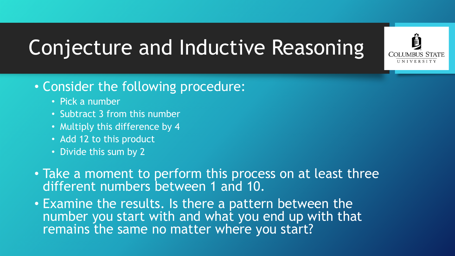

- Consider the following procedure:
	- Pick a number
	- Subtract 3 from this number
	- Multiply this difference by 4
	- Add 12 to this product
	- Divide this sum by 2
- Take a moment to perform this process on at least three different numbers between 1 and 10.
- Examine the results. Is there a pattern between the number you start with and what you end up with that remains the same no matter where you start?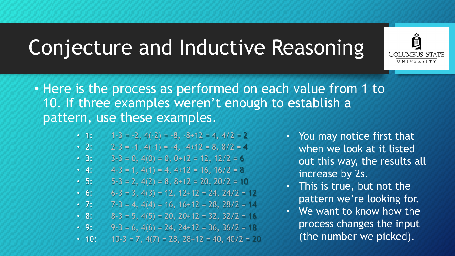

- Here is the process as performed on each value from 1 to 10. If three examples weren't enough to establish a pattern, use these examples.
	- 1:  $1-\overline{3} = -2$ ,  $4(-2) = -8$ ,  $-8+12 = 4$ ,  $4/2 = 2$
	- 2:  $2-3 = -1$ ,  $4(-1) = -4$ ,  $-4+12 = 8$ ,  $8/2 = 4$
	- 3:  $3-3 = 0$ ,  $4(0) = 0$ ,  $0+12 = 12$ ,  $12/2 = 6$
	- 4:  $4-3 = 1, 4(1) = 4, 4+12 = 16, 16/2 = 8$
	- 5:  $5-3 = 2, 4(2) = 8, 8+12 = 20, 20/2 = 10$
	- 6:  $6-3 = 3$ ,  $4(3) = 12$ ,  $12+12 = 24$ ,  $24/2 = 12$
	- 7:  $7.3 = 4, 4(4) = 16, 16+12 = 28, 28/2 = 14$
	- 8: 8-3 = 5, 4(5) = 20, 20+12 = 32, 32/2 = 16
	- 9: 9-3 = 6, 4(6) = 24, 24+12 = 36, 36/2 = 18
	- 10:  $10^{-3} = 7$ ,  $4(7) = 28$ ,  $28+12 = 40$ ,  $40/2 = 20$
- You may notice first that when we look at it listed out this way, the results all increase by 2s.
- This is true, but not the pattern we're looking for.
- We want to know how the process changes the input (the number we picked).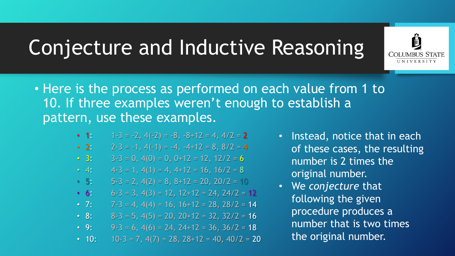

- Here is the process as performed on each value from 1 to 10. If three examples weren't enough to establish a pattern, use these examples.
	- 1:  $1-3 = -2$ ,  $4(-2) = -8$ ,  $-8+12 = 4$ ,  $4/2 = 2$
	- 2:  $2-3 = -1$ ,  $4(-1) = -4$ ,  $-4+12 = 8$ ,  $8/2 = 4$
	- 3:  $3-3 = 0$ ,  $4(0) = 0$ ,  $0+12 = 12$ ,  $12/2 = 6$
	- 4:  $4-3 = 1, 4(1) = 4, 4+12 = 16, 16/2 = 8$
	- 5:  $5-3 = 2$ ,  $4(2) = 8$ ,  $8+12 = 20$ ,  $20/2 = 10$
	- **6:**  $6-3 = 3$ ,  $4(3) = 12$ ,  $12+12 = 24$ ,  $24/2 = 12$
	- 7:  $7.3 = 4, 4(4) = 16, 16+12 = 28, 28/2 = 14$
	- 8: 8-3 = 5, 4(5) = 20, 20+12 = 32, 32/2 = 16
	- 9: 9-3 = 6, 4(6) = 24, 24+12 = 36, 36/2 = 18
	- 10:  $10^{-3} = 7, 4(7) = 28, 28+12 = 40, 40/2 = 20$
- Instead, notice that in each of these cases, the resulting number is 2 times the original number.
- We *conjecture* that following the given procedure produces a number that is two times the original number.